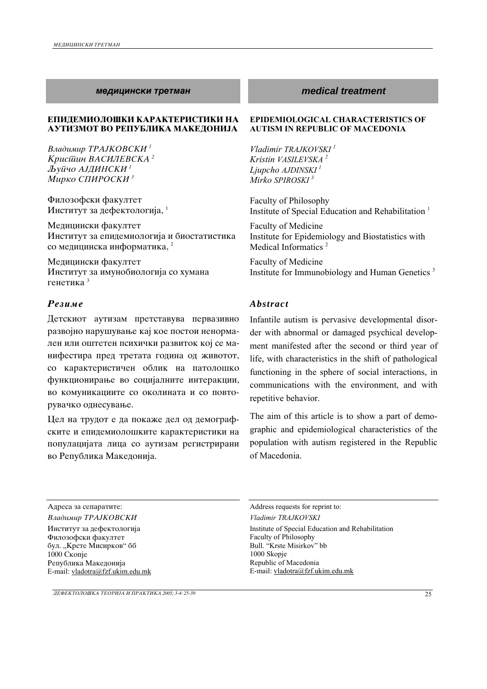### *medicinski tretman medical treatment*

### **ЕПИДЕМИОЛОШКИ КАРАКТЕРИСТИКИ НА АУТИЗМОТ ВО РЕПУБЛИКА МАКЕДОНИЈА**

Владимир ТРАЈКОВСКИ<sup>1</sup> *Kpucūuuн ВАСИЛЕВСКА*<sup>2</sup>  $J$ bуūчо АЈДИНСКИ <sup>1</sup> *Mirko SPIROSKI 3* 

Филозофски факултет Институт за дефектологија,  $1$ 

Медицински факултет Институт за епидемиологија и биостатистика со медицинска информатика, <sup>2</sup>

Медицински факултет Институт за имунобиологија со хумана генетика<sup>3</sup>

## *Rezime Abstract*

Детскиот аутизам претставува первазивно развојно нарушување кај кое постои ненормален или оштетен психички развиток кој се манифестира пред третата година од животот, со карактеристичен облик на патолошко функционирање во социјалните интеракции, во комуникациите со околината и со повторувачко однесување.

Цел на трудот е да покаже дел од демографските и епидемиолошките карактеристики на популацијата лица со аутизам регистрирани во Република Македонија.

### **EPIDEMIOLOGICAL CHARACTERISTICS OF AUTISM IN REPUBLIC OF MACEDONIA**

*Vladimir TRAJKOVSKI 1 Kristin VASILEVSKA 2 Ljupcho AJDINSKI 1 Mirko SPIROSKI 3*

Faculty of Philosophy Institute of Special Education and Rehabilitation<sup>1</sup>

Faculty of Medicine Institute for Epidemiology and Biostatistics with Medical Informatics<sup>2</sup>

Faculty of Medicine Institute for Immunobiology and Human Genetics 3

Infantile autism is pervasive developmental disorder with abnormal or damaged psychical development manifested after the second or third year of life, with characteristics in the shift of pathological functioning in the sphere of social interactions, in communications with the environment, and with repetitive behavior.

The aim of this article is to show a part of demographic and epidemiological characteristics of the population with autism registered in the Republic of Macedonia.

Advess requests for reprint to: Address requests for reprint to:

Институт за дефектологија Филозофски факултет бул. "Крсте Мисирков" бб  $1000$  Скопје Република Македонија E-mail: vladotra@fzf.ukim.edu.mk

*Vladimir TRAJKOVSKI Vladimir TRAJKOVSKI*  Institute of Special Education and Rehabilitation Faculty of Philosophy Bull. "Krste Misirkov" bb 1000 Skopje Republic of Macedonia E-mail: vladotra@fzf.ukim.edu.mk

*DEFEKTOLO[KA TEORIJA I PRAKTIKA 2005; 3-4: 25-39* 25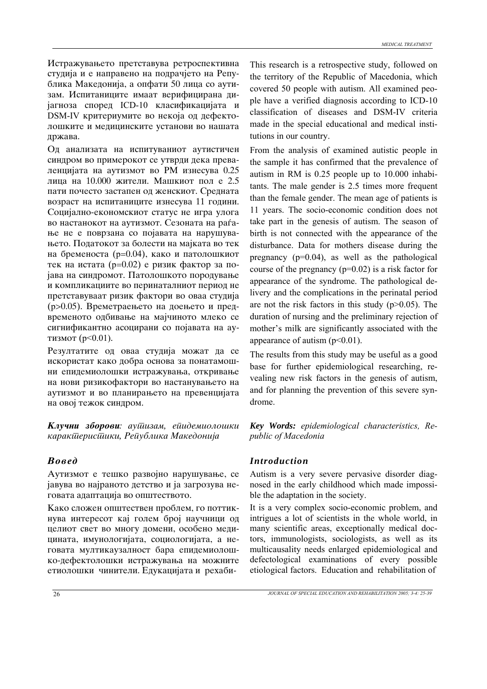Истражувањето претставува ретроспективна студија и е направено на подрачјето на Република Македонија, а опфати 50 лица со аутизам. Испитаниците имаат верифицирана дијагноза според ICD-10 класификацијата и DSM-IV критериумите во некоја од дефектолошките и медицинските установи во нашата држава.

Од анализата на испитуваниот аутистичен синдром во примерокот се утврди дека преваленцијата на аутизмот во РМ изнесува 0.25 лица на 10.000 жители. Машкиот пол е 2.5 пати почесто застапен од женскиот. Средната возраст на испитаниците изнесува 11 години. Социјално-економскиот статус не игра улога во настанокот на аутизмот. Сезоната на раѓање не е поврзана со појавата на нарушувањето. Податокот за болести на мајката во тек на бременоста (р=0.04), како и патолошкиот тек на истата (р=0.02) е ризик фактор за појава на синдромот. Патолошкото породување и компликациите во перинаталниот период не претставуваат ризик фактори во оваа студија (р>0.05). Времетраењето на доењето и предвременото одбивање на мајчиното млеко се сигнификантно асоцирани со појавата на аутизмот (р<0.01).

Резултатите од оваа студија можат да се искористат како добра основа за понатамошни епидемиолошки истражувања, откривање на нови ризикофактори во настанувањето на аутизмот и во планирањето на превенцијата на овој тежок синдром.

**Клучни зборови**: аушизам, ейидемиолошки *karakteristiki, Republika Makedonija* 

Аутизмот е тешко развојно нарушување, се јавува во најраното детство и ја загрозува неговата адаптација во општеството.

Како сложен општествен проблем, го поттикнува интересот кај голем број научници од целиот свет во многу домени, особено медицината, имунологијата, социологијата, а неговата мултикаузалност бара епидемиолошко-дефектолошки истражувања на можните етиолошки чинители. Едукацијата и рехабиThis research is a retrospective study, followed on the territory of the Republic of Macedonia, which covered 50 people with autism. All examined people have a verified diagnosis according to ICD-10 classification of diseases and DSM-IV criteria made in the special educational and medical institutions in our country.

From the analysis of examined autistic people in the sample it has confirmed that the prevalence of autism in RM is 0.25 people up to 10.000 inhabitants. The male gender is 2.5 times more frequent than the female gender. The mean age of patients is 11 years. The socio-economic condition does not take part in the genesis of autism. The season of birth is not connected with the appearance of the disturbance. Data for mothers disease during the pregnancy  $(p=0.04)$ , as well as the pathological course of the pregnancy  $(p=0.02)$  is a risk factor for appearance of the syndrome. The pathological delivery and the complications in the perinatal period are not the risk factors in this study  $(p>0.05)$ . The duration of nursing and the preliminary rejection of mother's milk are significantly associated with the appearance of autism  $(p<0.01)$ .

The results from this study may be useful as a good base for further epidemiological researching, revealing new risk factors in the genesis of autism, and for planning the prevention of this severe syndrome.

*Key Words: epidemiological characteristics, Republic of Macedonia* 

# *Voved Introduction*

Autism is a very severe pervasive disorder diagnosed in the early childhood which made impossible the adaptation in the society.

It is a very complex socio-economic problem, and intrigues a lot of scientists in the whole world, in many scientific areas, exceptionally medical doctors, immunologists, sociologists, as well as its multicausality needs enlarged epidemiological and defectological examinations of every possible etiological factors. Education and rehabilitation of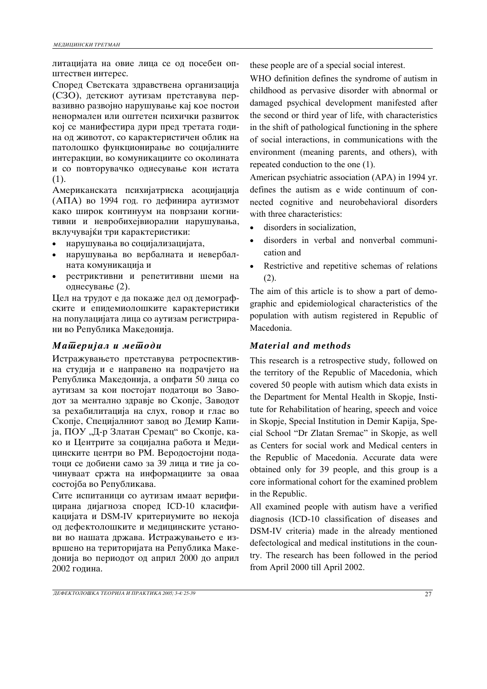литацијата на овие лица се од посебен општествен интерес.

Според Светската здравствена организација (СЗО), детскиот аутизам претставува первазивно развојно нарушување кај кое постои ненормален или оштетен психички развиток кој се манифестира дури пред третата година од животот, со карактеристичен облик на патолошко функционирање во социјалните интеракции, во комуникациите со околината и со повторувачко однесување кон истата (1).

Американската психијатриска асоцијација (АПА) во 1994 год. го дефинира аутизмот како широк континуум на поврзани когнитивни и невробихејвиорални нарушувања, вклучувајќи три карактеристики:

- нарушувања во социјализацијата,
- нарушувања во вербалната и невербалната комуникација и
- рестриктивни и репетитивни шеми на однесување  $(2)$ .

Цел на трудот е да покаже дел од демографските и епидемиолошките карактеристики на популацијата лица со аутизам регистрирани во Република Македонија.

## *Materijal i metodi Material and methods*

Истражувањето претставува ретроспективна студија и е направено на подрачјето на Република Македонија, а опфати 50 лица со аутизам за кои постојат податоци во Заводот за ментално здравје во Скопје, Заводот за рехабилитација на слух, говор и глас во Скопје, Специјалниот завод во Демир Капија, ПОУ "Д-р Златан Сремац" во Скопје, како и Центрите за социјална работа и Медицинските центри во РМ. Веродостојни податоци се добиени само за 39 лица и тие ја сочинуваат сржта на информациите за оваа состојба во Републикава.

Сите испитаници со аутизам имаат верифицирана дијагноза според ICD-10 класификацијата и DSM-IV критериумите во некоја од дефектолошките и медицинските установи во нашата држава. Истражувањето е извршено на територијата на Република Македонија во периодот од април 2000 до април 2002 година.

these people are of a special social interest.

WHO definition defines the syndrome of autism in childhood as pervasive disorder with abnormal or damaged psychical development manifested after the second or third year of life, with characteristics in the shift of pathological functioning in the sphere of social interactions, in communications with the environment (meaning parents, and others), with repeated conduction to the one (1).

American psychiatric association (APA) in 1994 yr. defines the autism as e wide continuum of connected cognitive and neurobehavioral disorders with three characteristics:

- disorders in socialization.
- disorders in verbal and nonverbal communication and
- Restrictive and repetitive schemas of relations (2).

The aim of this article is to show a part of demographic and epidemiological characteristics of the population with autism registered in Republic of Macedonia.

This research is a retrospective study, followed on the territory of the Republic of Macedonia, which covered 50 people with autism which data exists in the Department for Mental Health in Skopje, Institute for Rehabilitation of hearing, speech and voice in Skopje, Special Institution in Demir Kapija, Special School "Dr Zlatan Sremac" in Skopje, as well as Centers for social work and Medical centers in the Republic of Macedonia. Accurate data were obtained only for 39 people, and this group is a core informational cohort for the examined problem in the Republic.

All examined people with autism have a verified diagnosis (ICD-10 classification of diseases and DSM-IV criteria) made in the already mentioned defectological and medical institutions in the country. The research has been followed in the period from April 2000 till April 2002.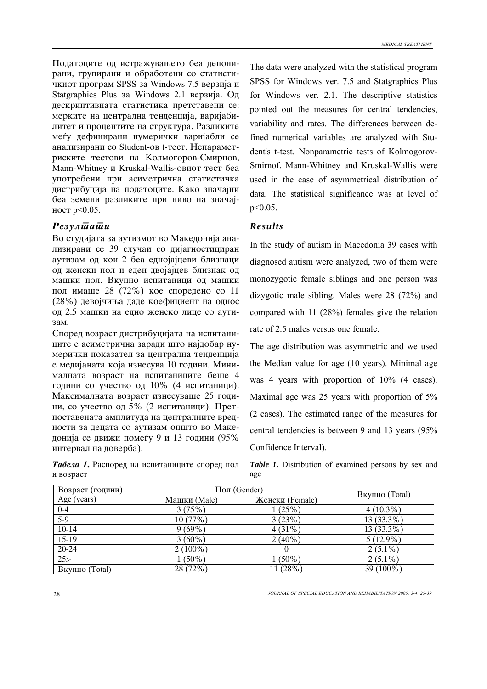Податоците од истражувањето беа депонирани, групирани и обработени со статистичкиот програм SPSS за Windows 7.5 верзија и Statgraphics Plus za Windows 2.1 верзија. Од пескриптивната статистика претставени се: мерките на централна тенденција, варијабилитет и процентите на структура. Разликите меѓу дефинирани нумерички варијабли се анализирани со Student-ов t-тест. Непараметриските тестови на Колмогоров-Смирнов, Mann-Whitney и Kruskal-Wallis-овиот тест беа употребени при асиметрична статистичка дистрибуција на податоците. Како значајни беа земени разликите при ниво на значајност р<0.05.

## *Results Results*

Во студијата за аутизмот во Македонија анализирани се 39 случаи со дијагностициран аутизам од кои 2 беа еднојајцеви близнаци од женски пол и еден двојајцев близнак од машки пол. Вкупно испитаници од машки пол имаше 28 (72%) кое споредено со 11 (28%) девојчиња даде коефициент на однос од 2.5 машки на едно женско лице со аути-3a<sub>M</sub>.

Според возраст дистрибуцијата на испитаниците е асиметрична заради што најдобар нумерички показател за централна тенденција е медијаната која изнесува 10 години. Минималната возраст на испитаниците беше 4 години со учество од 10% (4 испитаници). Максималната возраст изнесуваше 25 години, со учество од 5% (2 испитаници). Претпоставената амплитуда на централните вредности за децата со аутизам општо во Македонија се движи помеѓу 9 и 13 години (95% интервал на доверба).

**Табела 1.** Распоред на испитаниците според пол и возраст

The data were analyzed with the statistical program SPSS for Windows ver. 7.5 and Statgraphics Plus for Windows ver. 2.1. The descriptive statistics pointed out the measures for central tendencies, variability and rates. The differences between defined numerical variables are analyzed with Student's t-test. Nonparametric tests of Kolmogorov-Smirnof, Mann-Whitney and Kruskal-Wallis were used in the case of asymmetrical distribution of data. The statistical significance was at level of p<0.05.

In the study of autism in Macedonia 39 cases with diagnosed autism were analyzed, two of them were monozygotic female siblings and one person was dizygotic male sibling. Males were 28 (72%) and compared with 11 (28%) females give the relation rate of 2.5 males versus one female.

The age distribution was asymmetric and we used the Median value for age (10 years). Minimal age was 4 years with proportion of 10% (4 cases). Maximal age was 25 years with proportion of 5% (2 cases). The estimated range of the measures for central tendencies is between 9 and 13 years (95% Confidence Interval).

*Table 1.* Distribution of examined persons by sex and age

| Возраст (години)      | Пол (Gender) |                 |                       |
|-----------------------|--------------|-----------------|-----------------------|
| Age (years)           | Машки (Male) | Женски (Female) | <b>Вкупно</b> (Total) |
| $0 - 4$               | 3(75%)       | 1(25%)          | $4(10.3\%)$           |
| $\overline{5-9}$      | 10(77%)      | 3(23%)          | 13 (33.3%)            |
| $10-14$               | $9(69\%)$    | $4(31\%)$       | $13(33.3\%)$          |
| 15-19                 | $3(60\%)$    | $2(40\%)$       | $5(12.9\%)$           |
| 20-24                 | $2(100\%)$   |                 | $2(5.1\%)$            |
| 25 >                  | $1(50\%)$    | $1(50\%)$       | $2(5.1\%)$            |
| <b>Вкупно</b> (Total) | 28 (72%)     | 11 (28%)        | 39 (100%)             |

28 *JOURNAL OF SPECIAL EDUCATION AND REHABILITATION 2005; 3-4: 25-39*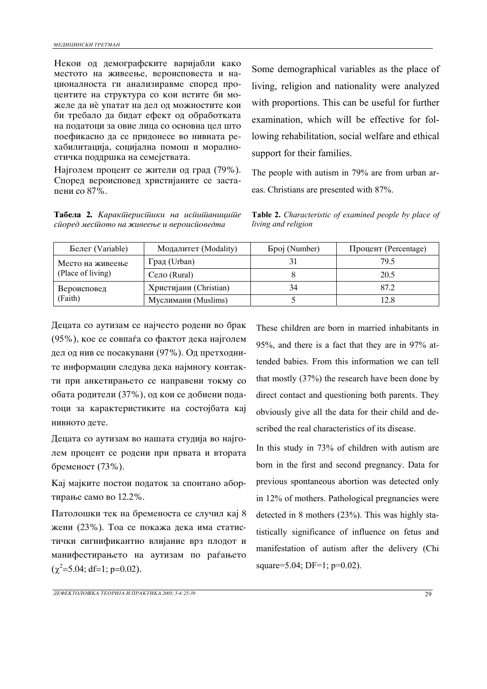Некои од демографските варијабли како местото на живеење, вероисповеста и националноста ги анализиравме според процентите на структура со кои истите би можеле да нѐ упатат на дел од можностите кои би требало да бидат ефект од обработката на податоци за овие лица со основна цел што поефикасно да се придонесе во нивната рехабилитација, социјална помош и моралноетичка поддршка на семејствата.

Најголем процент се жители од град (79%). Според вероисповед христијаните се застапени со  $87\%$ .

Табела 2. Каракшерисшики на испишаницише *spored mestoто na `iveewe i veroispovедта*

Some demographical variables as the place of living, religion and nationality were analyzed with proportions. This can be useful for further examination, which will be effective for following rehabilitation, social welfare and ethical support for their families.

The people with autism in 79% are from urban areas. Christians are presented with 87%.

**Table 2.** *Characteristic of examined people by place of living and religion*

| Белег (Variable)                      | Модалитет (Modality)   | <b>Epoj</b> (Number) | Процент (Percentage) |
|---------------------------------------|------------------------|----------------------|----------------------|
| Место на живеење<br>(Place of living) | Град (Urban)           |                      | 79.5                 |
|                                       | Ceno (Rural)           |                      | 20.5                 |
| Вероисповед<br>(Faith)                | Христијани (Christian) | 34                   | 87.2                 |
|                                       | Муслимани (Muslims)    |                      | 12.8                 |

Децата со аутизам се најчесто родени во брак  $(95\%)$ , кое се совпаѓа со фактот дека најголем дел од нив се посакувани (97%). Од претходните информации следува дека најмногу контакти при анкетирањето се направени токму со обата родители (37%), од кои се добиени податоци за карактеристиките на состојбата кај нивното лете.

Децата со аутизам во нашата студија во најголем процент се родени при првата и втората бременост (73%).

Кај мајките постои податок за спонтано абортирање само во 12.2%.

Патолошки тек на бременоста се случил кај 8 жени (23%). Тоа се покажа дека има статистички сигнификантно влијание врз плодот и манифестирањето на аутизам по раѓањето  $(\chi^2 = 5.04; df = 1; p = 0.02)$ .

These children are born in married inhabitants in 95%, and there is a fact that they are in 97% attended babies. From this information we can tell that mostly (37%) the research have been done by direct contact and questioning both parents. They obviously give all the data for their child and described the real characteristics of its disease.

In this study in 73% of children with autism are born in the first and second pregnancy. Data for previous spontaneous abortion was detected only in 12% of mothers. Pathological pregnancies were detected in 8 mothers (23%). This was highly statistically significance of influence on fetus and manifestation of autism after the delivery (Chi square=5.04; DF=1; p=0.02).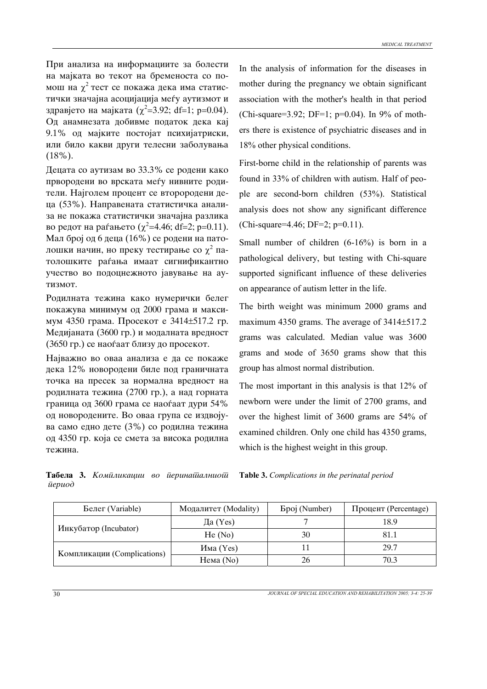При анализа на информациите за болести на мајката во текот на бременоста со помош на  $\chi^2$  тест се покажа дека има статистички значајна асоцијација меѓу аутизмот и здравјето на мајката ( $\chi^2$ =3.92; df=1; p=0.04). Од анамнезата добивме податок дека кај 9.1% од мајките постојат психијатриски, или било какви други телесни заболувања (18%).

Децата со аутизам во  $33.3\%$  се родени како првородени во врската меѓу нивните родители. Најголем процент се второродени деца (53%). Направената статистичка анализа не покажа статистички значајна разлика во редот на раѓањето ( $\chi^2$ =4.46; df=2; p=0.11). Мал број од 6 деца (16%) се родени на патолошки начин, но преку тестирање со  $\chi^2$  патолошките раѓања имаат сигнификантно учество во подоцнежното јавување на аутизмот.

Родилната тежина како нумерички белег покажува минимум од 2000 грама и максимум 4350 грама. Просекот е 3414±517.2 гр. Медијаната (3600 гр.) и модалната вредност (3650 гр.) се наоѓаат близу до просекот.

Најважно во оваа анализа е да се покаже дека 12% новородени биле под граничната точка на пресек за нормална вредност на родилната тежина (2700 гр.), а над горната граница од 3600 грама се наоѓаат дури 54% од новородените. Во оваа група се издвојува само едно дете  $(3%)$  со родилна тежина од 4350 гр. која се смета за висока родилна тежина.

In the analysis of information for the diseases in mother during the pregnancy we obtain significant association with the mother's health in that period (Chi-square=3.92; DF=1;  $p=0.04$ ). In 9% of mothers there is existence of psychiatric diseases and in 18% other physical conditions.

First-borne child in the relationship of parents was found in 33% of children with autism. Half of people are second-born children (53%). Statistical analysis does not show any significant difference (Chi-square=4.46; DF=2; p=0.11).

Small number of children (6-16%) is born in a pathological delivery, but testing with Chi-square supported significant influence of these deliveries on appearance of autism letter in the life.

The birth weight was minimum 2000 grams and maximum 4350 grams. The average of 3414 $\pm$ 517.2 grams was calculated. Median value was 3600 grams and мode of 3650 grams show that this group has almost normal distribution.

The most important in this analysis is that 12% of newborn were under the limit of 2700 grams, and over the highest limit of 3600 grams are 54% of examined children. Only one child has 4350 grams, which is the highest weight in this group.

|                                |  | <b>Табела 3.</b> Комиликации во иеринашалниош |
|--------------------------------|--|-----------------------------------------------|
| $\bar{u}epu\overrightarrow{o}$ |  |                                               |

**Table 3.** *Complications in the perinatal period*

| Белег (Variable)            | Модалитет (Modality) | <b>Bpoj</b> (Number) | Процент (Percentage) |
|-----------------------------|----------------------|----------------------|----------------------|
|                             | Да $(Yes)$           |                      | 18.9                 |
| Инкубатор (Incubator)       | He(No)               | 30                   | 81.1                 |
| Компликации (Complications) | Има (Yes)            |                      | 29.7                 |
|                             | Hема (No)            | 26                   | 70.3                 |

30 *JOURNAL OF SPECIAL EDUCATION AND REHABILITATION 2005; 3-4: 25-39*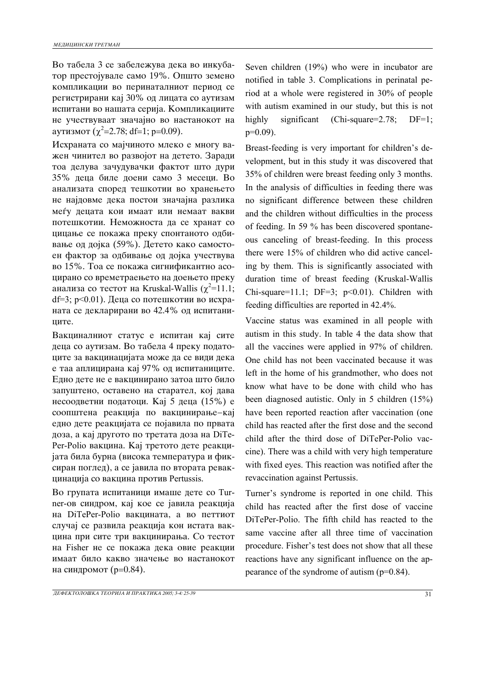Во табела 3 се забележува дека во инкубатор престојувале само 19%. Општо земено компликации во перинаталниот период се регистрирани кај 30% од лицата со аутизам испитани во нашата серија. Компликациите не учествуваат значајно во настанокот на ayтизмот ( $\chi^2$ =2.78; df=1; p=0.09).

Исхраната со мајчиното млеко е многу важен чинител во развојот на детето. Заради тоа делува зачудувачки фактот што дури 35% деца биле доени само 3 месеци. Во анализата според тешкотии во хранењето не најдовме дека постои значајна разлика меѓу децата кои имаат или немаат вакви потешкотии. Неможноста да се хранат со цицање се покажа преку спонтаното одбивање од дојка (59%). Детето како самостоeн фактор за одбивање од дојка учествува во 15%. Тоа се покажа сигнификантно асоцирано со времетраењето на доењето преку анализа со тестот на Kruskal-Wallis ( $\chi^2$ =11.1;  $df=3$ ; p<0.01). Деца со потешкотии во исхраната се декларирани во 42.4% од испитанините.

Вакциналниот статус е испитан кај сите деца со аутизам. Во табела 4 преку податоците за вакцинацијата може да се види дека e таа аплицирана кај 97% од испитаниците. Едно дете не е вакцинирано затоа што било запуштено, оставено на старател, кој дава несоодветни податоци. Кај 5 деца (15%) е соопштена реакција по вакцинирање-кај едно дете реакцијата се појавила по првата доза, а кај другото по третата доза на DiTe-Per-Polio вакцина. Кај третото дете реакцијата била бурна (висока температура и фиксиран поглед), а се јавила по втората ревакцинација со вакцина против Pertussis.

Во групата испитаници имаше дете со Turner-ов синдром, кај кое се јавила реакција на DiTePer-Polio вакцината, а во петтиот случај се развила реакција кон истата вакцина при сите три вакцинирања. Со тестот на Fisher не се покажа дека овие реакции имаат било какво значење во настанокот на синдромот (р=0.84).

Seven children (19%) who were in incubator are notified in table 3. Complications in perinatal period at a whole were registered in 30% of people with autism examined in our study, but this is not highly significant (Chi-square=2.78; DF=1; p=0.09).

Breast-feeding is very important for children's development, but in this study it was discovered that 35% of children were breast feeding only 3 months. In the analysis of difficulties in feeding there was no significant difference between these children and the children without difficulties in the process of feeding. In 59 % has been discovered spontaneous canceling of breast-feeding. In this process there were 15% of children who did active canceling by them. This is significantly associated with duration time of breast feeding (Kruskal-Wallis Chi-square=11.1; DF=3;  $p<0.01$ ). Children with feeding difficulties are reported in 42.4%.

Vaccine status was examined in all people with autism in this study. In table 4 the data show that all the vaccines were applied in 97% of children. One child has not been vaccinated because it was left in the home of his grandmother, who does not know what have to be done with child who has been diagnosed autistic. Only in 5 children (15%) have been reported reaction after vaccination (one child has reacted after the first dose and the second child after the third dose of DiTePer-Polio vaccine). There was a child with very high temperature with fixed eyes. This reaction was notified after the revaccination against Pertussis.

Turner's syndrome is reported in one child. This child has reacted after the first dose of vaccine DiTePer-Polio. The fifth child has reacted to the same vaccine after all three time of vaccination procedure. Fisher's test does not show that all these reactions have any significant influence on the appearance of the syndrome of autism (p=0.84).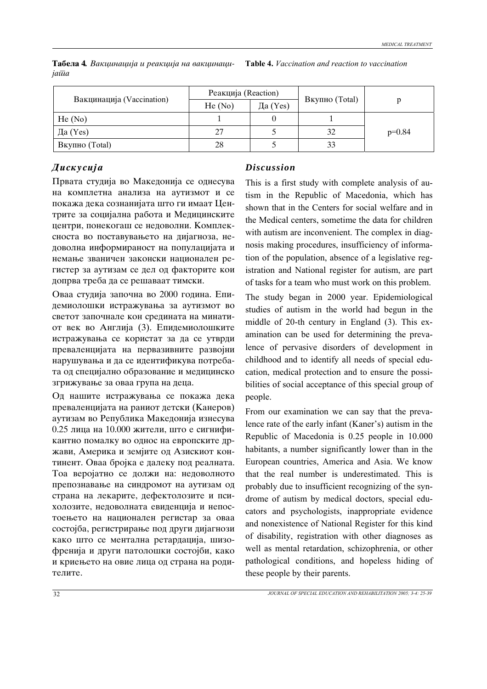|                           | Реакција (Reaction) |            |                       |          |
|---------------------------|---------------------|------------|-----------------------|----------|
| Вакцинација (Vaccination) | He(No)              | Да $(Yes)$ | <b>Вкупно</b> (Total) |          |
| He(No)                    |                     |            |                       |          |
| Да $(Yes)$                | 27                  |            | 32                    | $p=0.84$ |
| <b>Вкупно</b> (Total)     | 28                  |            | 33                    |          |

Табела 4. Вакцинација и реакција на вакцинаци*jata* **Table 4.** *Vaccination and reaction to vaccination*

# *Diskusija Discussion*

Првата студија во Македонија се однесува на комплетна анализа на аутизмот и се покажа дека сознанијата што ги имаат Центрите за социјална работа и Медицинските центри, понекогаш се недоволни. Комплексноста во поставувањето на дијагноза, недоволна информираност на популацијата и немање званичен законски национален регистер за аутизам се дел од факторите кои допрва треба да се решаваат тимски.

Оваа студија започна во 2000 година. Епидемиолошки истражувања за аутизмот во светот започнале кон средината на минатиот век во Англија (3). Епидемиолошките истражувања се користат за да се утврди преваленцијата на первазивните развојни нарушувања и да се идентификува потребата од специјално образование и медицинско згрижување за оваа група на деца.

Од нашите истражувања се покажа дека преваленцијата на раниот детски (Канеров) аутизам во Република Македонија изнесува 0.25 лица на 10.000 жители, што е сигнификантно помалку во однос на европските држави, Америка и земјите од Азискиот континент. Оваа бројка е далеку под реалната. Тоа веројатно се должи на: недоволното препознавање на синдромот на аутизам од страна на лекарите, дефектолозите и психолозите, недоволната евиденција и непостоењето на национален регистар за оваа состојба, регистрирање под други дијагнози како што се ментална ретардација, шизофренија и други патолошки состојби, како и криењето на овие лица од страна на родителите.

This is a first study with complete analysis of autism in the Republic of Macedonia, which has shown that in the Centers for social welfare and in the Medical centers, sometime the data for children with autism are inconvenient. The complex in diagnosis making procedures, insufficiency of information of the population, absence of a legislative registration and National register for autism, are part of tasks for a team who must work on this problem.

The study began in 2000 year. Epidemiological studies of autism in the world had begun in the middle of 20-th century in England (3). This examination can be used for determining the prevalence of pervasive disorders of development in childhood and to identify all needs of special education, medical protection and to ensure the possibilities of social acceptance of this special group of people.

From our examination we can say that the prevalence rate of the early infant (Kaner's) autism in the Republic of Macedonia is 0.25 people in 10.000 habitants, a number significantly lower than in the European countries, America and Asia. We know that the real number is underestimated. This is probably due to insufficient recognizing of the syndrome of autism by medical doctors, special educators and psychologists, inappropriate evidence and nonexistence of National Register for this kind of disability, registration with other diagnoses as well as mental retardation, schizophrenia, or other pathological conditions, and hopeless hiding of these people by their parents.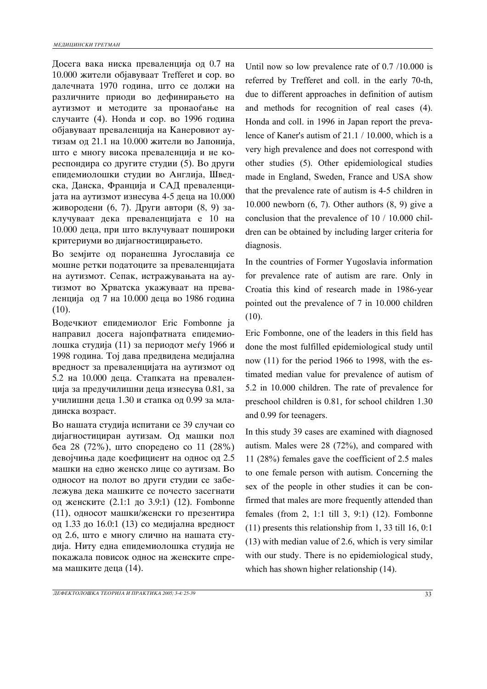Досега вака ниска преваленција од 0.7 на 10.000 жители објавуваат Trefferet и сор. во далечната 1970 година, што се должи на различните приоди во дефинирањето на аутизмот и методите за пронаоѓање на случаите (4). Honda и сор. во 1996 година објавуваат преваленција на Канеровиот аутизам од 21.1 на 10.000 жители во Јапонија, што е многу висока преваленција и не кореспондира со другите студии (5). Во други епидемиолошки студии во Англија, Шведска, Данска, Франција и САД преваленцијата на аутизмот изнесува 4-5 деца на 10.000 живородени (6, 7). Други автори (8, 9) заклучуваат дека преваленцијата е 10 на 10.000 деца, при што вклучуваат пошироки критериуми во дијагностицирањето.

Во земјите од поранешна Југославија се мошне ретки податоците за преваленцијата на аутизмот. Сепак, истражувањата на аутизмот во Хрватска укажуваат на преваленција од 7 на 10.000 деца во 1986 година (10).

Водечкиот епидемиолог Eric Fombonne ja направил досега најопфатната епидемиолошка студија (11) за периодот меѓу 1966 и 1998 година. Тој дава предвидена медијална вредност за преваленцијата на аутизмот од 5.2 на 10.000 деца. Стапката на преваленција за предучилишни деца изнесува 0.81, за училишни деца 1.30 и стапка од 0.99 за младинска возраст.

Во нашата студија испитани се 39 случаи со дијагностициран аутизам. Од машки пол беа 28 (72%), што споредено со 11 (28%) девојчиња даде коефициент на однос од 2.5 машки на едно женско лице со аутизам. Во односот на полот во други студии се забележува дека машките се почесто засегнати од женските (2.1:1 до 3.9:1) (12). Fombonne (11), односот машки/женски го презентира од 1.33 до 16.0:1 (13) со медијална вредност од 2.6, што е многу слично на нашата студија. Ниту една епидемиолошка студија не покажала повисок однос на женските спрема машките деца  $(14)$ .

Until now so low prevalence rate of 0.7 /10.000 is referred by Trefferet and coll. in the early 70-th, due to different approaches in definition of autism and methods for recognition of real cases (4). Honda and coll. in 1996 in Japan report the prevalence of Kaner's autism of 21.1 / 10.000, which is a very high prevalence and does not correspond with other studies (5). Other epidemiological studies made in England, Sweden, France and USA show that the prevalence rate of autism is 4-5 children in 10.000 newborn (6, 7). Other authors (8, 9) give a conclusion that the prevalence of 10 / 10.000 children can be obtained by including larger criteria for diagnosis.

In the countries of Former Yugoslavia information for prevalence rate of autism are rare. Only in Croatia this kind of research made in 1986-year pointed out the prevalence of 7 in 10.000 children (10).

Eric Fombonne, one of the leaders in this field has done the most fulfilled epidemiological study until now (11) for the period 1966 to 1998, with the estimated median value for prevalence of autism of 5.2 in 10.000 children. The rate of prevalence for preschool children is 0.81, for school children 1.30 and 0.99 for teenagers.

In this study 39 cases are examined with diagnosed autism. Males were 28 (72%), and compared with 11 (28%) females gave the coefficient of 2.5 males to one female person with autism. Concerning the sex of the people in other studies it can be confirmed that males are more frequently attended than females (from 2, 1:1 till 3, 9:1) (12). Fombonne (11) presents this relationship from 1, 33 till 16, 0:1 (13) with median value of 2.6, which is very similar with our study. There is no epidemiological study, which has shown higher relationship (14).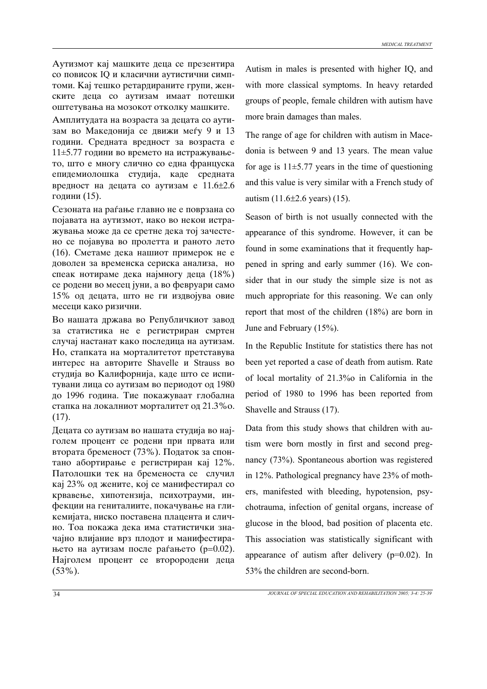Аутизмот кај машките деца се презентира со повисок IQ и класични аутистични симптоми. Кај тешко ретардираните групи, женските деца со аутизам имаат потешки оштетувања на мозокот отколку машките.

Амплитудата на возраста за децата со аутизам во Македонија се движи меѓу 9 и 13 години. Средната вредност за возраста е  $11\pm5.77$  години во времето на истражувањето, што е многу слично со една француска епидемиолошка студија, каде средната вредност на децата со аутизам е  $11.6\pm2.6$ години (15).

Сезоната на раѓање главно не е поврзана со појавата на аутизмот, иако во некои истражувања може да се сретне дека тој зачестено се појавува во пролетта и раното лето (16). Сметаме дека нашиот примерок не е доволен за временска сериска анализа, но спеак нотираме дека најмногу деца (18%) се родени во месец јуни, а во февруари само 15% од децата, што не ги издвојува овие месеци како ризични.

Во нашата држава во Републичкиот завод за статистика не е регистриран смртен случај настанат како последица на аутизам. Но, стапката на морталитетот претставува интерес на авторите Shavelle и Strauss во студија во Калифорнија, каде што се испитувани лица со аутизам во периодот од 1980 до 1996 година. Тие покажуваат глобална стапка на локалниот морталитет од 21.3% о. (17).

Децата со аутизам во нашата студија во најголем процент се родени при првата или втората бременост (73%). Податок за спонтано абортирање е регистриран кај 12%. Патолошки тек на бременоста се случил кај 23% од жените, кој се манифестирал со крвавење, хипотензија, психотрауми, инфекции на гениталиите, покачување на гликемијата, ниско поставена плацента и слично. Тоа покажа дека има статистички значајно влијание врз плодот и манифестирањето на аутизам после раѓањето (р=0.02). Најголем процент се второродени деца (53%).

Autism in males is presented with higher IQ, and with more classical symptoms. In heavy retarded groups of people, female children with autism have more brain damages than males.

The range of age for children with autism in Macedonia is between 9 and 13 years. The mean value for age is  $11\pm5.77$  years in the time of questioning and this value is very similar with a French study of autism (11.6±2.6 years) (15).

Season of birth is not usually connected with the appearance of this syndrome. However, it can be found in some examinations that it frequently happened in spring and early summer (16). We consider that in our study the simple size is not as much appropriate for this reasoning. We can only report that most of the children (18%) are born in June and February (15%).

In the Republic Institute for statistics there has not been yet reported a case of death from autism. Rate of local mortality of 21.3%o in California in the period of 1980 to 1996 has been reported from Shavelle and Strauss (17).

Data from this study shows that children with autism were born mostly in first and second pregnancy (73%). Spontaneous abortion was registered in 12%. Pathological pregnancy have 23% of mothers, manifested with bleeding, hypotension, psychotrauma, infection of genital organs, increase of glucose in the blood, bad position of placenta etc. This association was statistically significant with appearance of autism after delivery (p=0.02). In 53% the children are second-born.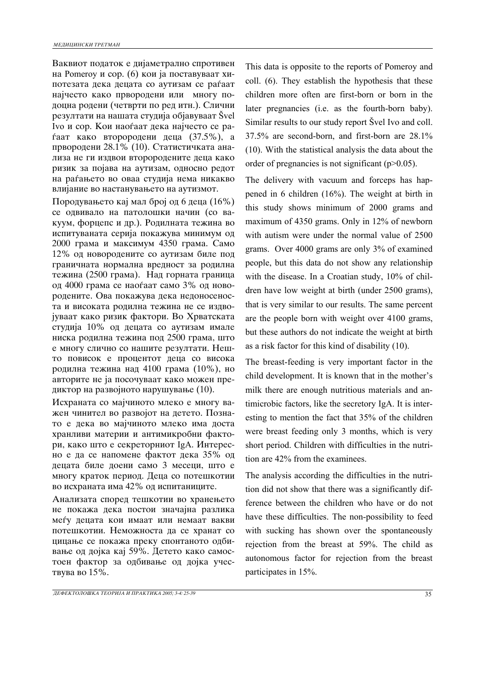Ваквиот податок е дијаметрално спротивен на Pomeroy и сор. (6) кои ја поставуваат хипотезата дека децата со аутизам се раѓаат најчесто како првородени или многу подоцна родени (четврти по ред итн.). Слични резултати на нашата студија објавуваат Švel Ivo и сор. Кои наоѓаат дека најчесто се ра $faar$  како второродени деца (37.5%), а првородени 28.1% (10). Статистичката анализа не ги издвои второродените деца како ризик за појава на аутизам, односно редот на раѓањето во оваа студија нема никакво влијание во настанувањето на аутизмот.

Породувањето кај мал број од 6 деца (16%) се одвивало на патолошки начин (со вакуум, форцепс и др.). Родилната тежина во испитуваната серија покажува минимум од 2000 грама и максимум 4350 грама. Само 12% од новородените со аутизам биле под граничната нормална вредност за родилна тежина (2500 грама). Над горната граница од 4000 грама се наоѓаат само 3% од новородените. Ова покажува дека недоносеноста и високата родилна тежина не се издвојуваат како ризик фактори. Во Хрватската студија 10% од децата со аутизам имале ниска родилна тежина под 2500 грама, што е многу слично со нашите резултати. Нешто повисок е процентот деца со висока родилна тежина над 4100 грама (10%), но авторите не ја посочуваат како можен предиктор на развојното нарушување (10).

Исхраната со мајчиното млеко е многу важен чинител во развојот на детето. Познато е дека во мајчиното млеко има доста хранливи материи и антимикробни фактори, како што е секреторниот IgA. Интересно е да се напомене фактот дека 35% од децата биле доени само 3 месеци, што е многу краток период. Деца со потешкотии во исхраната има 42% од испитаниците.

Анализата според тешкотии во хранењето не покажа дека постои значајна разлика меѓу децата кои имаат или немаат вакви потешкотии. Неможноста да се хранат со цицање се покажа преку спонтаното одбивање од дојка кај 59%. Детето како самостоен фактор за одбивање од дојка учествува во  $15%$ .

This data is opposite to the reports of Pomeroy and coll. (6). They establish the hypothesis that these children more often are first-born or born in the later pregnancies (i.e. as the fourth-born baby). Similar results to our study report Švel Ivo and coll. 37.5% are second-born, and first-born are 28.1% (10). With the statistical analysis the data about the order of pregnancies is not significant (p>0.05).

The delivery with vacuum and forceps has happened in 6 children (16%). The weight at birth in this study shows minimum of 2000 grams and maximum of 4350 grams. Only in 12% of newborn with autism were under the normal value of 2500 grams. Over 4000 grams are only 3% of examined people, but this data do not show any relationship with the disease. In a Croatian study, 10% of children have low weight at birth (under 2500 grams), that is very similar to our results. The same percent are the people born with weight over 4100 grams, but these authors do not indicate the weight at birth as a risk factor for this kind of disability (10).

The breast-feeding is very important factor in the child development. It is known that in the mother's milk there are enough nutritious materials and antimicrobic factors, like the secretory IgA. It is interesting to mention the fact that 35% of the children were breast feeding only 3 months, which is very short period. Children with difficulties in the nutrition are 42% from the examinees.

The analysis according the difficulties in the nutrition did not show that there was a significantly difference between the children who have or do not have these difficulties. The non-possibility to feed with sucking has shown over the spontaneously rejection from the breast at 59%. The child as autonomous factor for rejection from the breast participates in 15%.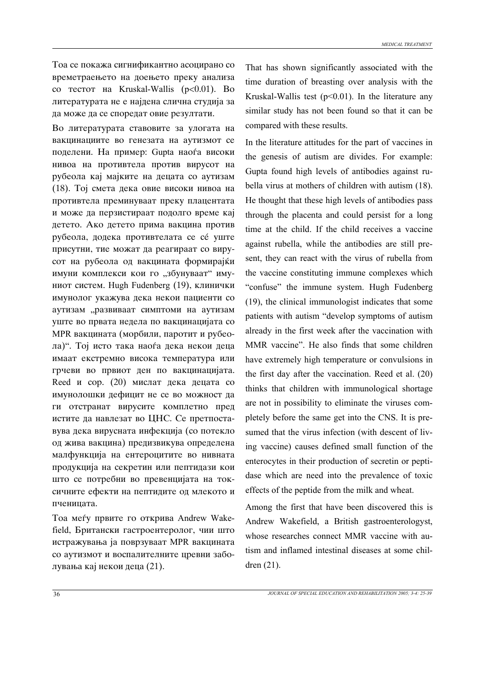Тоа се покажа сигнификантно асоцирано со времетраењето на доењето преку анализа co тестот на Kruskal-Wallis (p<0.01). Bo литературата не е најдена слична студија за да може да се споредат овие резултати.

Во литературата ставовите за улогата на вакцинациите во генезата на аутизмот се поделени. На пример: Gupta наоѓа високи нивоа на противтела против вирусот на рубеола кај мајките на децата со аутизам (18). Toj смета дека овие високи нивоа на противтела преминуваат преку плацентата и може да перзистираат подолго време кај детето. Ако детето прима вакцина против рубеола, додека противтелата се се уште присутни, тие можат да реагираат со вирусот на рубеола од вакцината формирајќи имуни комплекси кои го "збунуваат" имуниот систем. Hugh Fudenberg (19), клинички имунолог укажува дека некои пациенти со аутизам "развиваат симптоми на аутизам уште во првата недела по вакцинацијата со MPR вакцината (морбили, паротит и рубеола)". Тој исто така наоѓа дека некои деца имаат екстремно висока температура или грчеви во првиот ден по вакцинацијата. Reed  $\mu$  cop. (20) мислат дека децата со имунолошки дефицит не се во можност да ги отстранат вирусите комплетно пред истите да навлезат во ЦНС. Се претпоставува дека вирусната инфекција (со потекло од жива вакцина) предизвикува определена малфункција на ентероцитите во нивната продукција на секретин или пептидази кои што се потребни во превенцијата на токсичните ефекти на пептидите од млекото и nyehulara.

Тоа меѓу првите го открива Andrew Wakefield, Британски гастроентеролог, чии што истражувања ја поврзуваат MPR вакцината со аутизмот и воспалителните цревни заболувања кај некои деца (21).

That has shown significantly associated with the time duration of breasting over analysis with the Kruskal-Wallis test  $(p<0.01)$ . In the literature any similar study has not been found so that it can be compared with these results.

In the literature attitudes for the part of vaccines in the genesis of autism are divides. For example: Gupta found high levels of antibodies against rubella virus at mothers of children with autism (18). He thought that these high levels of antibodies pass through the placenta and could persist for a long time at the child. If the child receives a vaccine against rubella, while the antibodies are still present, they can react with the virus of rubella from the vaccine constituting immune complexes which "confuse" the immune system. Hugh Fudenberg (19), the clinical immunologist indicates that some patients with autism "develop symptoms of autism already in the first week after the vaccination with MMR vaccine". He also finds that some children have extremely high temperature or convulsions in the first day after the vaccination. Reed et al. (20) thinks that children with immunological shortage are not in possibility to eliminate the viruses completely before the same get into the CNS. It is presumed that the virus infection (with descent of living vaccine) causes defined small function of the enterocytes in their production of secretin or peptidase which are need into the prevalence of toxic effects of the peptide from the milk and wheat.

Among the first that have been discovered this is Andrew Wakefield, a British gastroenterologyst, whose researches connect MMR vaccine with autism and inflamed intestinal diseases at some children (21).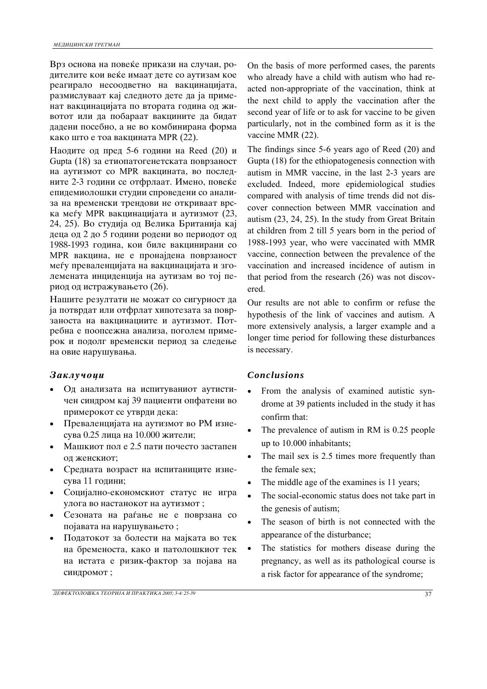Врз основа на повеќе прикази на случаи, родителите кои веќе имаат дете со аутизам кое реагирало несоодветно на вакцинацијата, размислуваат кај следното дете да ја применат вакцинацијата по втората година од животот или да побараат вакцините да бидат дадени посебно, а не во комбинирана форма како што е тоа вакцината MPR (22).

Наодите од пред 5-6 години на Reed  $(20)$  и Gupta  $(18)$  за етиопатогенетската поврзаност на аутизмот со MPR вакцината, во последните 2-3 години се отфрлаат. Имено, повеќе епидемиолошки студии спроведени со анализа на временски трендови не откриваат врска меѓу MPR вакцинацијата и аутизмот (23, 24, 25). Во студија од Велика Британија кај деца од 2 до 5 години родени во периодот од 1988-1993 година, кои биле вакцинирани со MPR вакцина, не е пронајдена поврзаност меѓу преваленцијата на вакцинацијата и зголемената инциденција на аутизам во тој период од истражувањето (26).

Нашите резултати не можат со сигурност да ја потврдат или отфрлат хипотезата за поврзаноста на вакцинациите и аутизмот. Потребна е поопсежна анализа, поголем примерок и подолг временски период за следење на овие нарушувања.

- Од анализата на испитуваниот аутистичен синдром кај 39 пациенти опфатени во примерокот се утврди дека:
- Преваленцијата на аутизмот во РМ изнесува 0.25 лица на 10.000 жители;
- Машкиот пол е 2.5 пати почесто застапен од женскиот;
- Средната возраст на испитаниците изнесува 11 години;
- Социјално-економскиот статус не игра улога во настанокот на аутизмот;
- Сезоната на раѓање не е поврзана со појавата на нарушувањето;
- $\bullet$  Податокот за болести на мајката во тек на бременоста, како и патолошкиот тек на истата е ризик-фактор за појава на синдромот;

On the basis of more performed cases, the parents who already have a child with autism who had reacted non-appropriate of the vaccination, think at the next child to apply the vaccination after the second year of life or to ask for vaccine to be given particularly, not in the combined form as it is the vaccine MMR (22).

The findings since 5-6 years ago of Reed (20) and Gupta (18) for the ethiopatogenesis connection with autism in MMR vaccine, in the last 2-3 years are excluded. Indeed, more epidemiological studies compared with analysis of time trends did not discover connection between MMR vaccination and autism (23, 24, 25). In the study from Great Britain at children from 2 till 5 years born in the period of 1988-1993 year, who were vaccinated with MMR vaccine, connection between the prevalence of the vaccination and increased incidence of autism in that period from the research (26) was not discovered.

Our results are not able to confirm or refuse the hypothesis of the link of vaccines and autism. A more extensively analysis, a larger example and a longer time period for following these disturbances is necessary.

## *Zaklu~oci Conclusions*

- From the analysis of examined autistic syndrome at 39 patients included in the study it has confirm that:
- The prevalence of autism in RM is 0.25 people up to 10.000 inhabitants;
- The mail sex is 2.5 times more frequently than the female sex;
- The middle age of the examines is 11 years;
- The social-economic status does not take part in the genesis of autism;
- The season of birth is not connected with the appearance of the disturbance;
- The statistics for mothers disease during the pregnancy, as well as its pathological course is a risk factor for appearance of the syndrome;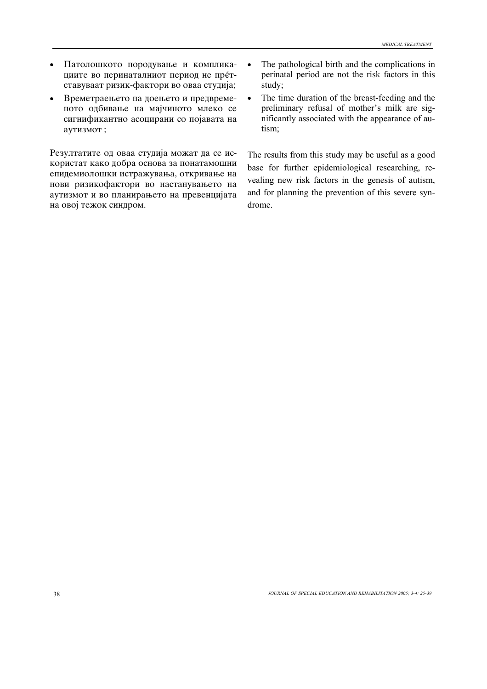- Патолошкото породување и компликациите во перинаталниот период не претставуваат ризик-фактори во оваа студија;
- Времетраењето на доењето и предвременото одбивање на мајчиното млеко се сигнификантно асоцирани со појавата на ayтизмот;

Резултатите од оваа студија можат да се искористат како добра основа за понатамошни епидемиолошки истражувања, откривање на нови ризикофактори во настанувањето на аутизмот и во планирањето на превенцијата на овој тежок синдром.

- The pathological birth and the complications in perinatal period are not the risk factors in this study;
- The time duration of the breast-feeding and the preliminary refusal of mother's milk are significantly associated with the appearance of autism;

The results from this study may be useful as a good base for further epidemiological researching, revealing new risk factors in the genesis of autism, and for planning the prevention of this severe syndrome.